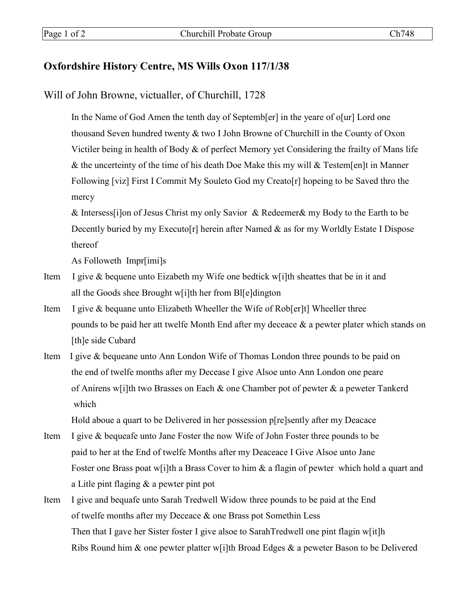## **Oxfordshire History Centre, MS Wills Oxon 117/1/38**

Will of John Browne, victualler, of Churchill, 1728

In the Name of God Amen the tenth day of Septemb[er] in the yeare of o[ur] Lord one thousand Seven hundred twenty & two I John Browne of Churchill in the County of Oxon Victiler being in health of Body & of perfect Memory yet Considering the frailty of Mans life & the uncerteinty of the time of his death Doe Make this my will & Testem[en]t in Manner Following [viz] First I Commit My Souleto God my Creato[r] hopeing to be Saved thro the mercy

& Intersess[i]on of Jesus Christ my only Savior & Redeemer& my Body to the Earth to be Decently buried by my Executo[r] herein after Named & as for my Worldly Estate I Dispose thereof

As Followeth Impr[imi]s

- Item I give & bequene unto Eizabeth my Wife one bedtick w[i]th sheattes that be in it and all the Goods shee Brought w[i]th her from Bl[e]dington
- Item I give & bequane unto Elizabeth Wheeller the Wife of Rob[er]t] Wheeller three pounds to be paid her att twelfe Month End after my deceace & a pewter plater which stands on [th]e side Cubard
- Item I give & bequeane unto Ann London Wife of Thomas London three pounds to be paid on the end of twelfe months after my Decease I give Alsoe unto Ann London one peare of Anirens w[i]th two Brasses on Each & one Chamber pot of pewter  $\&$  a peweter Tankerd which

Hold aboue a quart to be Delivered in her possession p[re]sently after my Deacace

- Item I give & bequeafe unto Jane Foster the now Wife of John Foster three pounds to be paid to her at the End of twelfe Months after my Deaceace I Give Alsoe unto Jane Foster one Brass poat w[i]th a Brass Cover to him & a flagin of pewter which hold a quart and a Litle pint flaging & a pewter pint pot
- Item I give and bequafe unto Sarah Tredwell Widow three pounds to be paid at the End of twelfe months after my Deceace & one Brass pot Somethin Less Then that I gave her Sister foster I give alsoe to SarahTredwell one pint flagin w[it]h Ribs Round him & one pewter platter w[i]th Broad Edges & a peweter Bason to be Delivered